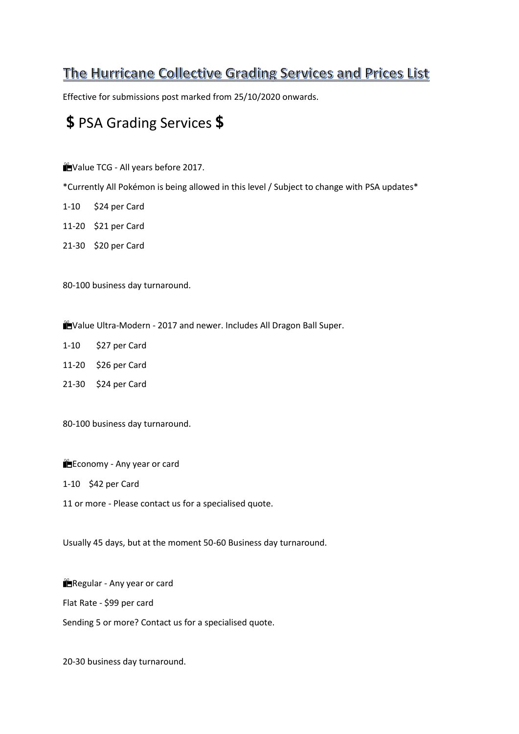## The Hurricane Collective Grading Services and Prices List

Effective for submissions post marked from 25/10/2020 onwards.

## \$ PSA Grading Services \$

Value TCG - All years before 2017.

\*Currently All Pokémon is being allowed in this level / Subject to change with PSA updates\*

1-10 \$24 per Card

- 11-20 \$21 per Card
- 21-30 \$20 per Card

80-100 business day turnaround.

Yalue Ultra-Modern - 2017 and newer. Includes All Dragon Ball Super.

- 1-10 \$27 per Card
- 11-20 \$26 per Card
- 21-30 \$24 per Card

80-100 business day turnaround.

Economy - Any year or card

1-10 \$42 per Card

11 or more - Please contact us for a specialised quote.

Usually 45 days, but at the moment 50-60 Business day turnaround.

Regular - Any year or card

Flat Rate - \$99 per card

Sending 5 or more? Contact us for a specialised quote.

20-30 business day turnaround.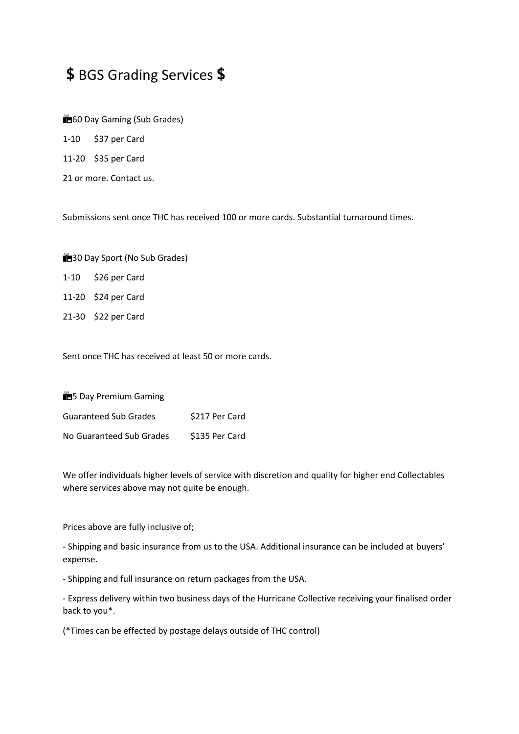## \$ BGS Grading Services \$

60 Day Gaming (Sub Grades)

1-10 \$37 per Card

11-20 \$35 per Card

21 or more. Contact us.

Submissions sent once THC has received 100 or more cards. Substantial turnaround times.

**130 Day Sport (No Sub Grades)** 1-10 \$26 per Card 11-20 \$24 per Card

21-30 \$22 per Card

Sent once THC has received at least 50 or more cards.

| <b>15 Day Premium Gaming</b> |                |
|------------------------------|----------------|
| <b>Guaranteed Sub Grades</b> | \$217 Per Card |
| No Guaranteed Sub Grades     | \$135 Per Card |

We offer individuals higher levels of service with discretion and quality for higher end Collectables where services above may not quite be enough.

Prices above are fully inclusive of;

- Shipping and basic insurance from us to the USA. Additional insurance can be included at buyers' expense.

- Shipping and full insurance on return packages from the USA.

- Express delivery within two business days of the Hurricane Collective receiving your finalised order back to you\*.

(\*Times can be effected by postage delays outside of THC control)